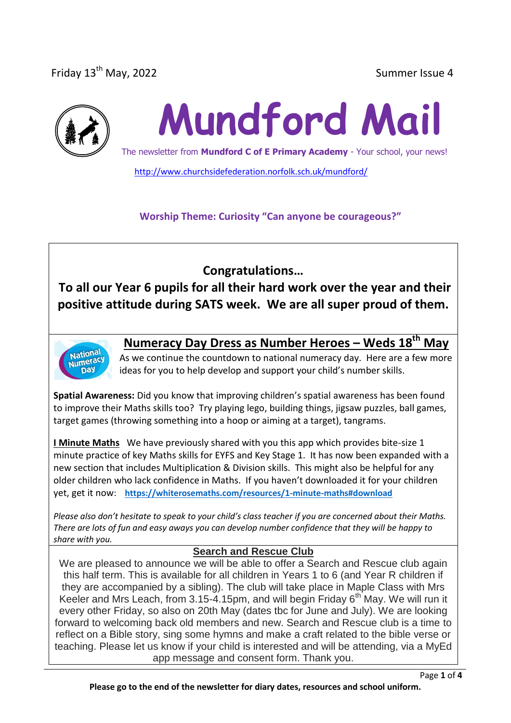Friday 13<sup>th</sup> May, 2022 **Summer Issue 4** Summer Issue 4



# **Mundford Mail**

The newsletter from **Mundford C of E Primary Academy** - Your school, your news!

<http://www.churchsidefederation.norfolk.sch.uk/mundford/>

**Worship Theme: Curiosity "Can anyone be courageous?"**

**Congratulations…**

**To all our Year 6 pupils for all their hard work over the year and their positive attitude during SATS week. We are all super proud of them.**



## **Numeracy Day Dress as Number Heroes – Weds 18th May**

As we continue the countdown to national numeracy day. Here are a few more ideas for you to help develop and support your child's number skills.

**Spatial Awareness:** Did you know that improving children's spatial awareness has been found to improve their Maths skills too? Try playing lego, building things, jigsaw puzzles, ball games, target games (throwing something into a hoop or aiming at a target), tangrams.

**I Minute Maths** We have previously shared with you this app which provides bite-size 1 minute practice of key Maths skills for EYFS and Key Stage 1. It has now been expanded with a new section that includes Multiplication & Division skills. This might also be helpful for any older children who lack confidence in Maths. If you haven't downloaded it for your children yet, get it now: **<https://whiterosemaths.com/resources/1-minute-maths#download>**

*Please also don't hesitate to speak to your child's class teacher if you are concerned about their Maths. There are lots of fun and easy aways you can develop number confidence that they will be happy to share with you.*

#### **Search and Rescue Club**

We are pleased to announce we will be able to offer a Search and Rescue club again this half term. This is available for all children in Years 1 to 6 (and Year R children if they are accompanied by a sibling). The club will take place in Maple Class with Mrs Keeler and Mrs Leach, from  $3.15 - 4.15$ pm, and will begin Friday  $6<sup>th</sup>$  May. We will run it every other Friday, so also on 20th May (dates tbc for June and July). We are looking forward to welcoming back old members and new. Search and Rescue club is a time to reflect on a Bible story, sing some hymns and make a craft related to the bible verse or teaching. Please let us know if your child is interested and will be attending, via a MyEd app message and consent form. Thank you.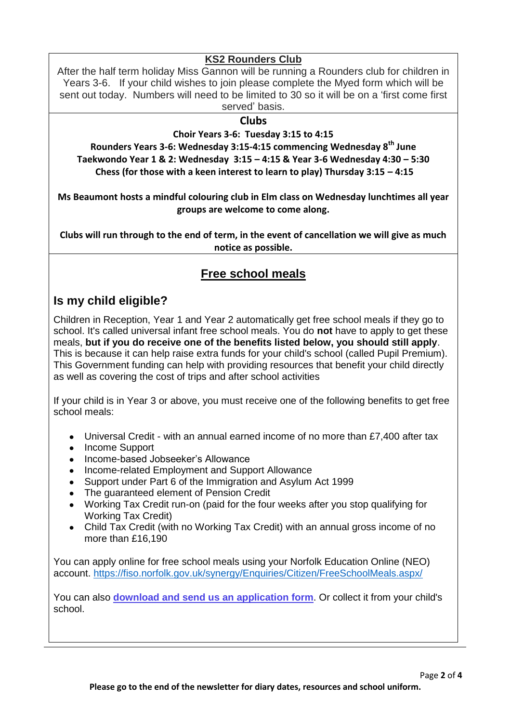## **KS2 Rounders Club**

After the half term holiday Miss Gannon will be running a Rounders club for children in Years 3-6. If your child wishes to join please complete the Myed form which will be sent out today. Numbers will need to be limited to 30 so it will be on a 'first come first served' basis.

#### **Clubs**

**Choir Years 3-6: Tuesday 3:15 to 4:15** 

**Rounders Years 3-6: Wednesday 3:15-4:15 commencing Wednesday 8th June Taekwondo Year 1 & 2: Wednesday 3:15 – 4:15 & Year 3-6 Wednesday 4:30 – 5:30 Chess (for those with a keen interest to learn to play) Thursday 3:15 – 4:15** 

**Ms Beaumont hosts a mindful colouring club in Elm class on Wednesday lunchtimes all year groups are welcome to come along.**

**Clubs will run through to the end of term, in the event of cancellation we will give as much notice as possible.**

## **Free school meals**

## **Is my child eligible?**

Children in Reception, Year 1 and Year 2 automatically get free school meals if they go to school. It's called universal infant free school meals. You do **not** have to apply to get these meals, **but if you do receive one of the benefits listed below, you should still apply**. This is because it can help raise extra funds for your child's school (called Pupil Premium). This Government funding can help with providing resources that benefit your child directly as well as covering the cost of trips and after school activities

If your child is in Year 3 or above, you must receive one of the following benefits to get free school meals:

- Universal Credit with an annual earned income of no more than £7,400 after tax
- Income Support
- Income-based Jobseeker's Allowance
- Income-related Employment and Support Allowance
- Support under Part 6 of the Immigration and Asylum Act 1999
- The guaranteed element of Pension Credit
- Working Tax Credit run-on (paid for the four weeks after you stop qualifying for Working Tax Credit)
- Child Tax Credit (with no Working Tax Credit) with an annual gross income of no more than £16,190

You can apply online for free school meals using your Norfolk Education Online (NEO) account.<https://fiso.norfolk.gov.uk/synergy/Enquiries/Citizen/FreeSchoolMeals.aspx/>

You can also **[download and send us an application form](https://www.norfolk.gov.uk/-/media/norfolk/downloads/education-learning/free-school-meals-and-pupil-premium-registration-form.pdf)**. Or collect it from your child's school.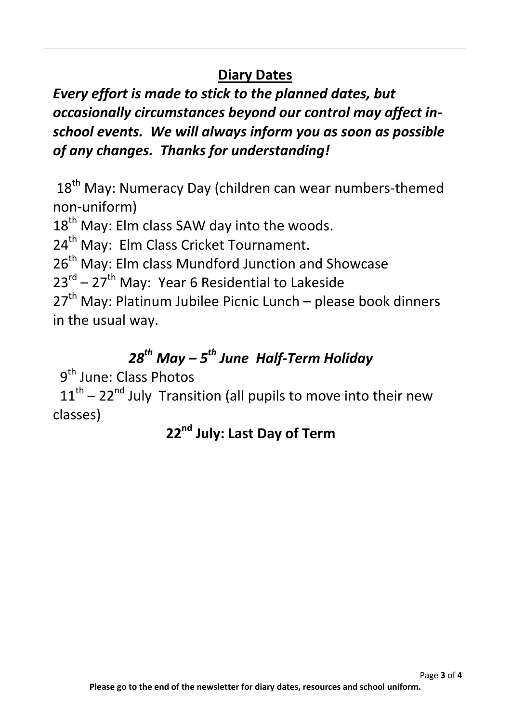## **Diary Dates**

*Every effort is made to stick to the planned dates, but occasionally circumstances beyond our control may affect inschool events. We will always inform you as soon as possible of any changes. Thanks for understanding!*

18<sup>th</sup> May: Numeracy Day (children can wear numbers-themed non-uniform)

18<sup>th</sup> May: Elm class SAW day into the woods.

24<sup>th</sup> May: Elm Class Cricket Tournament.

26<sup>th</sup> May: Elm class Mundford Junction and Showcase

23<sup>rd</sup> – 27<sup>th</sup> May: Year 6 Residential to Lakeside

 $27<sup>th</sup>$  May: Platinum Jubilee Picnic Lunch – please book dinners in the usual way.

## *28th May – 5 th June Half-Term Holiday*

9<sup>th</sup> June: Class Photos

 $11<sup>th</sup> - 22<sup>nd</sup>$  July Transition (all pupils to move into their new classes)

## **22nd July: Last Day of Term**